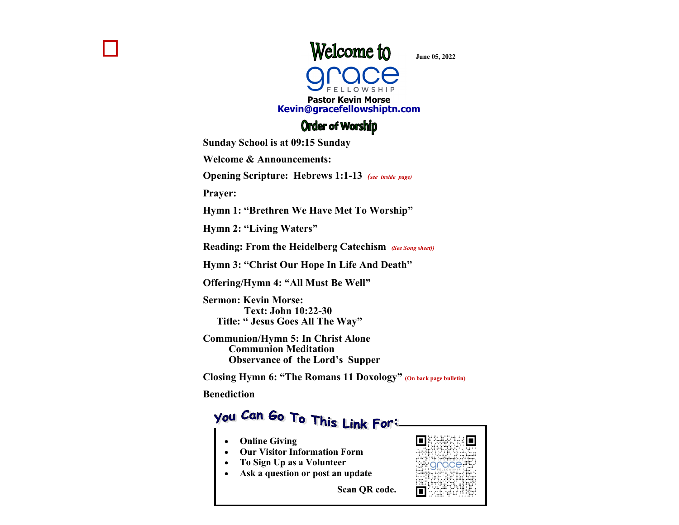

**June 05, 2022**

# **Kevin@gracefellowshiptn.com**

### **Order of Worship**

**Sunday School is at 09:15 Sunday**

**Welcome & Announcements:** 

**Opening Scripture: Hebrews 1:1-13** *(see inside page)* 

**Prayer:** 

**Hymn 1: "Brethren We Have Met To Worship"**

**Hymn 2: "Living Waters"** 

**Reading: From the Heidelberg Catechism** *(See Song sheet))*

**Hymn 3: "Christ Our Hope In Life And Death"**

**Offering/Hymn 4: "All Must Be Well"** 

**Sermon: Kevin Morse: Text: John 10:22-30 Title: " Jesus Goes All The Way"**

**Communion/Hymn 5: In Christ Alone Communion Meditation Observance of the Lord's Supper** 

**Closing Hymn 6: "The Romans 11 Doxology" (On back page bulletin) Benediction** 

# you Can Go To This Link For:

- **Online Giving**
- **Our Visitor Information Form**
- **To Sign Up as a Volunteer**
- **Ask a question or post an update**



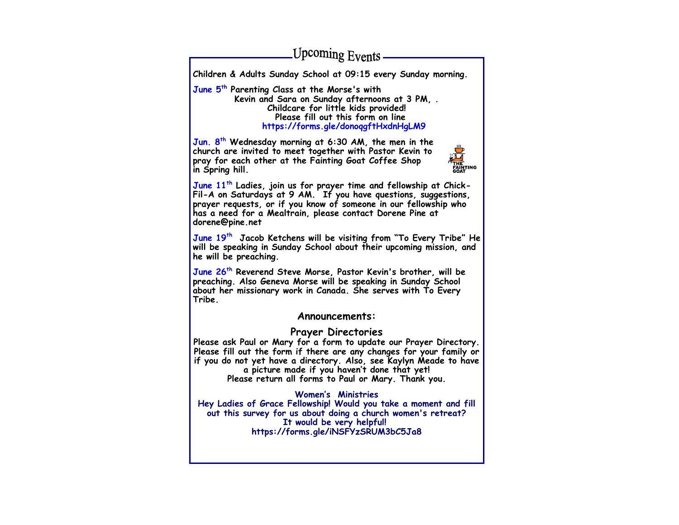### Upcoming Events

**Children & Adults Sunday School at 09:15 every Sunday morning. June 5th Parenting Class at the Morse's with Kevin and Sara on Sunday afternoons at 3 PM, . Childcare for little kids provided! Please fill out this form on line https://forms.gle/donoqgftHxdnHgLM9 Jun. 8th Wednesday morning at 6:30 AM, the men in the church are invited to meet together with Pastor Kevin to pray for each other at the Fainting Goat Coffee Shop in Spring hill. June 11th Ladies, join us for prayer time and fellowship at Chick-Fil-A on Saturdays at 9 AM. If you have questions, suggestions, prayer requests, or if you know of someone in our fellowship who has a need for a Mealtrain, please contact Dorene Pine at dorene@pine.net June 19th Jacob Ketchens will be visiting from "To Every Tribe" He will be speaking in Sunday School about their upcoming mission, and he will be preaching. June 26th Reverend Steve Morse, Pastor Kevin's brother, will be preaching. Also Geneva Morse will be speaking in Sunday School about her missionary work in Canada. She serves with To Every Tribe. Announcements:** 

#### **Prayer Directories**

**Please ask Paul or Mary for a form to update our Prayer Directory. Please fill out the form if there are any changes for your family or if you do not yet have a directory. Also, see Kaylyn Meade to have a picture made if you haven't done that yet! Please return all forms to Paul or Mary. Thank you.**

#### **Women's Ministries**

**Hey Ladies of Grace Fellowship! Would you take a moment and fill out this survey for us about doing a church women's retreat? It would be very helpful! https://forms.gle/iNSFYzSRUM3bC5Ja8**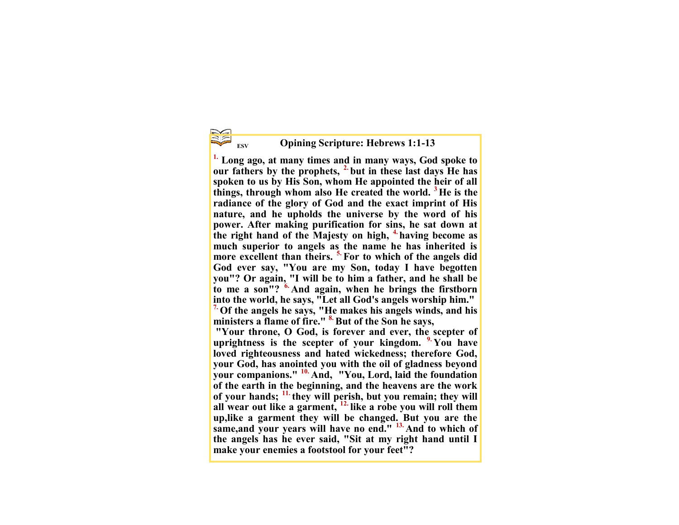# **ESP rs Opining Scripture: Hebrews 1:1-13**

**1. Long ago, at many times and in many ways, God spoke to our fathers by the prophets, 2. but in these last days He has spoken to us by His Son, whom He appointed the heir of all things, through whom also He created the world. <sup>3</sup>He is the radiance of the glory of God and the exact imprint of His nature, and he upholds the universe by the word of his power. After making purification for sins, he sat down at the right hand of the Majesty on high, 4. having become as much superior to angels as the name he has inherited is more excellent than theirs. 5. For to which of the angels did God ever say, "You are my Son, today I have begotten you"? Or again, "I will be to him a father, and he shall be to me a son"? 6. And again, when he brings the firstborn into the world, he says, "Let all God's angels worship him." 7. Of the angels he says, "He makes his angels winds, and his ministers a flame of fire." 8. But of the Son he says,**

**"Your throne, O God, is forever and ever, the scepter of uprightness is the scepter of your kingdom. 9. You have loved righteousness and hated wickedness; therefore God, your God, has anointed you with the oil of gladness beyond your companions." 10. And, "You, Lord, laid the foundation of the earth in the beginning, and the heavens are the work of your hands; 11. they will perish, but you remain; they will all wear out like a garment, 12. like a robe you will roll them up,like a garment they will be changed. But you are the same,and your years will have no end." 13. And to which of the angels has he ever said, "Sit at my right hand until I make your enemies a footstool for your feet"?**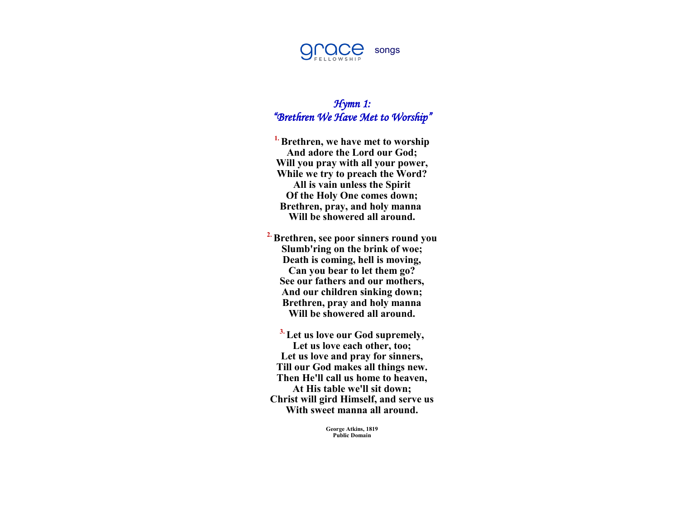

#### *Hymn 1: "Brethren We Have Met to Worship"*

**1. Brethren, we have met to worship And adore the Lord our God; Will you pray with all your power, While we try to preach the Word? All is vain unless the Spirit Of the Holy One comes down; Brethren, pray, and holy manna Will be showered all around.**

**2. Brethren, see poor sinners round you Slumb'ring on the brink of woe; Death is coming, hell is moving, Can you bear to let them go? See our fathers and our mothers, And our children sinking down; Brethren, pray and holy manna Will be showered all around.**

**3. Let us love our God supremely, Let us love each other, too; Let us love and pray for sinners, Till our God makes all things new. Then He'll call us home to heaven, At His table we'll sit down; Christ will gird Himself, and serve us With sweet manna all around.**

> **George Atkins, 1819 Public Domain**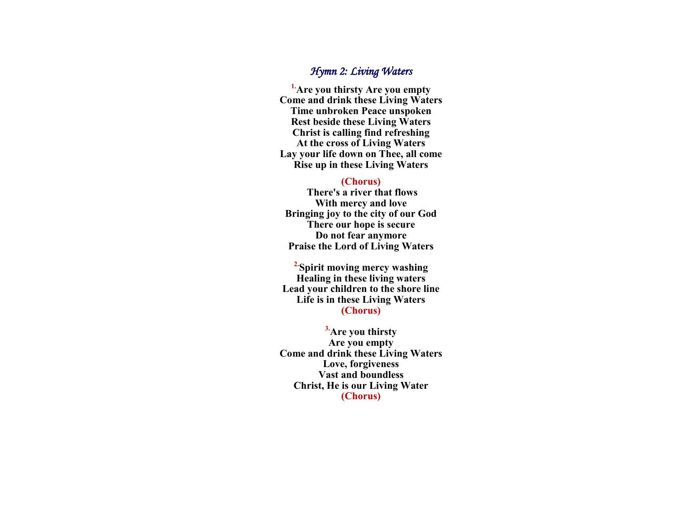#### *Hymn 2: Living Waters*

**1.Are you thirsty Are you empty Come and drink these Living Waters Time unbroken Peace unspoken Rest beside these Living Waters Christ is calling find refreshing At the cross of Living Waters Lay your life down on Thee, all come Rise up in these Living Waters**

#### **(Chorus)**

**There's a river that flows With mercy and love Bringing joy to the city of our God There our hope is secure Do not fear anymore Praise the Lord of Living Waters**

**2.Spirit moving mercy washing Healing in these living waters Lead your children to the shore line Life is in these Living Waters (Chorus)**

**3.Are you thirsty Are you empty Come and drink these Living Waters Love, forgiveness Vast and boundless Christ, He is our Living Water (Chorus)**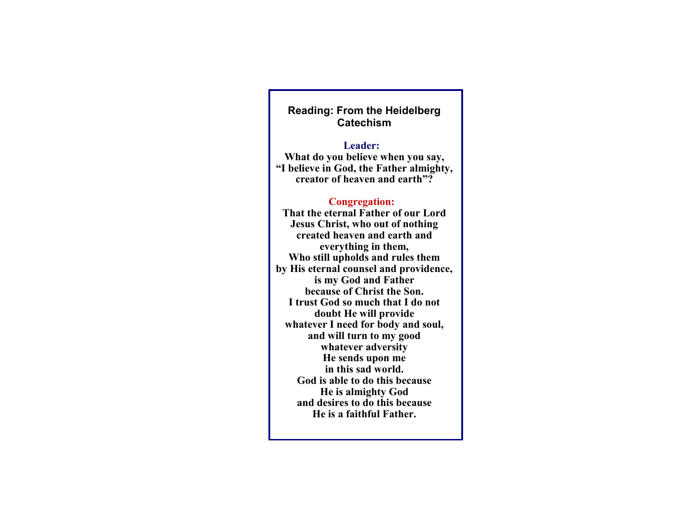#### **Reading: From the Heidelberg Catechism**

#### **Leader:**

**What do you believe when you say, "I believe in God, the Father almighty, creator of heaven and earth"?**

#### **Congregation:**

**That the eternal Father of our Lord Jesus Christ, who out of nothing created heaven and earth and everything in them, Who still upholds and rules them by His eternal counsel and providence, is my God and Father because of Christ the Son. I trust God so much that I do not doubt He will provide whatever I need for body and soul, and will turn to my good whatever adversity He sends upon me in this sad world. God is able to do this because He is almighty God and desires to do this because He is a faithful Father.**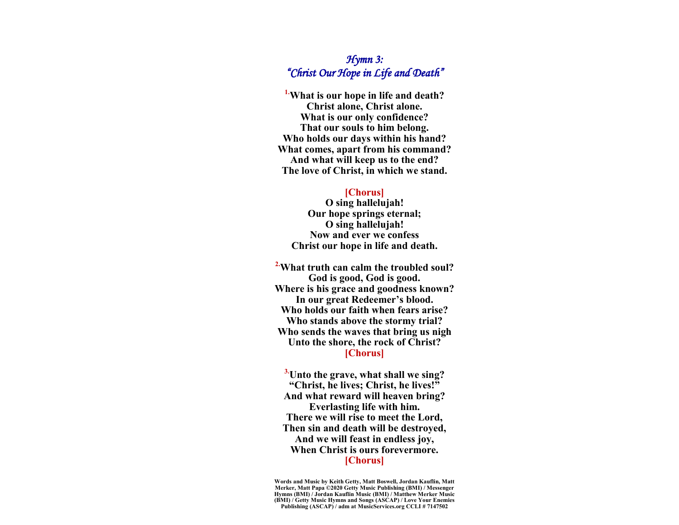#### *Hymn 3: "Christ Our Hope in Life and Death"*

**1.What is our hope in life and death? Christ alone, Christ alone. What is our only confidence? That our souls to him belong. Who holds our days within his hand? What comes, apart from his command? And what will keep us to the end? The love of Christ, in which we stand.**

#### **[Chorus]**

**O sing hallelujah! Our hope springs eternal; O sing hallelujah! Now and ever we confess Christ our hope in life and death.**

**2.What truth can calm the troubled soul? God is good, God is good. Where is his grace and goodness known? In our great Redeemer's blood. Who holds our faith when fears arise? Who stands above the stormy trial? Who sends the waves that bring us nigh Unto the shore, the rock of Christ? [Chorus]**

**3.Unto the grave, what shall we sing? "Christ, he lives; Christ, he lives!" And what reward will heaven bring? Everlasting life with him. There we will rise to meet the Lord, Then sin and death will be destroyed, And we will feast in endless joy, When Christ is ours forevermore. [Chorus]**

**Words and Music by Keith Getty, Matt Boswell, Jordan Kauflin, Matt Merker, Matt Papa ©2020 Getty Music Publishing (BMI) / Messenger Hymns (BMI) / Jordan Kauflin Music (BMI) / Matthew Merker Music (BMI) / Getty Music Hymns and Songs (ASCAP) / Love Your Enemies Publishing (ASCAP) / adm at MusicServices.org CCLI # 7147502**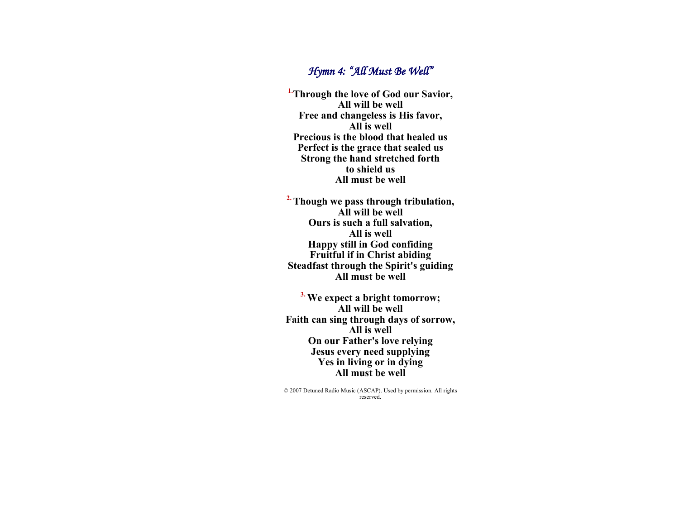#### *Hymn 4: "All Must Be Well"*

**1.Through the love of God our Savior, All will be well Free and changeless is His favor, All is well Precious is the blood that healed us Perfect is the grace that sealed us Strong the hand stretched forth to shield us All must be well**

**2. Though we pass through tribulation, All will be well Ours is such a full salvation, All is well Happy still in God confiding Fruitful if in Christ abiding Steadfast through the Spirit's guiding All must be well**

**3. We expect a bright tomorrow; All will be well Faith can sing through days of sorrow, All is well On our Father's love relying Jesus every need supplying Yes in living or in dying All must be well**

© 2007 Detuned Radio Music (ASCAP). Used by permission. All rights reserved.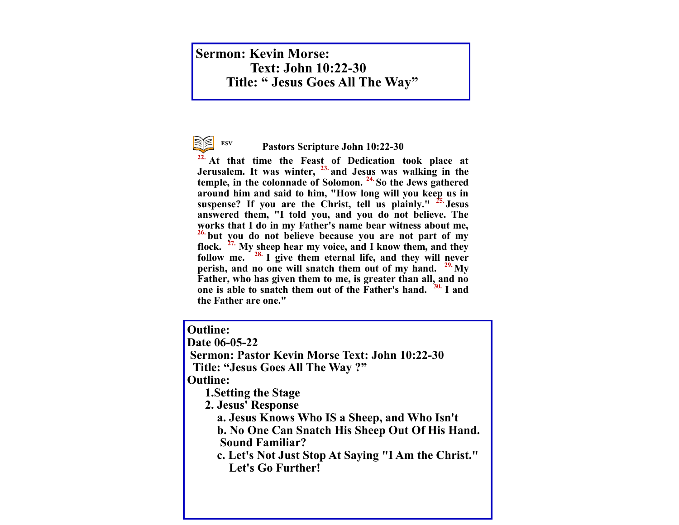**Sermon: Kevin Morse: Text: John 10:22-30 Title: " Jesus Goes All The Way"**



#### **ESV Pastors Scripture John 10:22-30**

**22. At that time the Feast of Dedication took place at Jerusalem. It was winter, 23. and Jesus was walking in the temple, in the colonnade of Solomon. 24. So the Jews gathered around him and said to him, "How long will you keep us in suspense? If you are the Christ, tell us plainly." 25. Jesus answered them, "I told you, and you do not believe. The works that I do in my Father's name bear witness about me, 26. but you do not believe because you are not part of my flock. 27. My sheep hear my voice, and I know them, and they follow me. 28. I give them eternal life, and they will never perish, and no one will snatch them out of my hand. 29. My Father, who has given them to me, is greater than all, and no one is able to snatch them out of the Father's hand. 30. I and the Father are one."**

**Outline: Date 06-05-22 Sermon: Pastor Kevin Morse Text: John 10:22-30 Title: "Jesus Goes All The Way ?" Outline: 1.Setting the Stage 2. Jesus' Response a. Jesus Knows Who IS a Sheep, and Who Isn't b. No One Can Snatch His Sheep Out Of His Hand. Sound Familiar? c. Let's Not Just Stop At Saying "I Am the Christ." Let's Go Further!**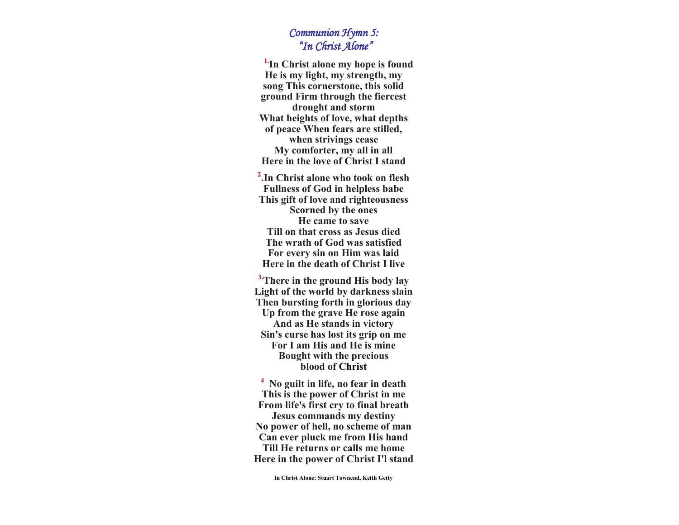#### *Communion Hymn 5: "In Christ Alone"*

**1.In Christ alone my hope is found He is my light, my strength, my song This cornerstone, this solid ground Firm through the fiercest drought and storm What heights of love, what depths of peace When fears are stilled, when strivings cease My comforter, my all in all Here in the love of Christ I stand**

**2 .In Christ alone who took on flesh Fullness of God in helpless babe This gift of love and righteousness Scorned by the ones He came to save Till on that cross as Jesus died The wrath of God was satisfied For every sin on Him was laid Here in the death of Christ I live**

**3.There in the ground His body lay Light of the world by darkness slain Then bursting forth in glorious day Up from the grave He rose again And as He stands in victory Sin's curse has lost its grip on me For I am His and He is mine Bought with the precious blood of Christ**

**4 No guilt in life, no fear in death This is the power of Christ in me From life's first cry to final breath Jesus commands my destiny No power of hell, no scheme of man Can ever pluck me from His hand Till He returns or calls me home Here in the power of Christ I'l stand**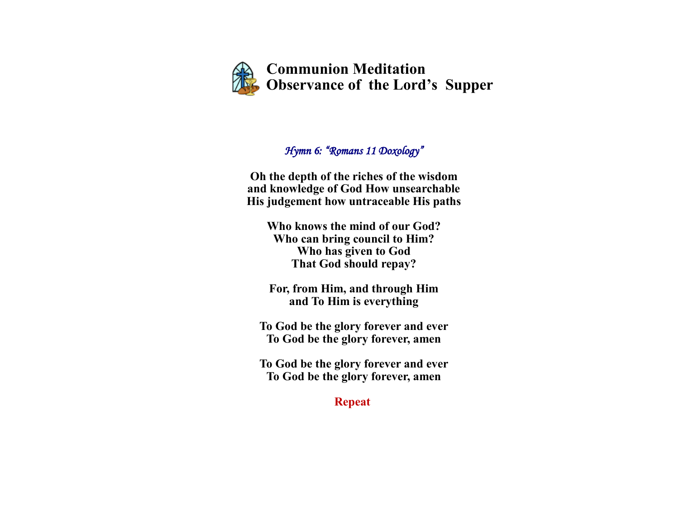

#### *Hymn 6: "Romans 11 Doxology"*

**Oh the depth of the riches of the wisdom and knowledge of God How unsearchable His judgement how untraceable His paths**

**Who knows the mind of our God? Who can bring council to Him? Who has given to God That God should repay?**

**For, from Him, and through Him and To Him is everything**

**To God be the glory forever and ever To God be the glory forever, amen**

**To God be the glory forever and ever To God be the glory forever, amen**

**Repeat**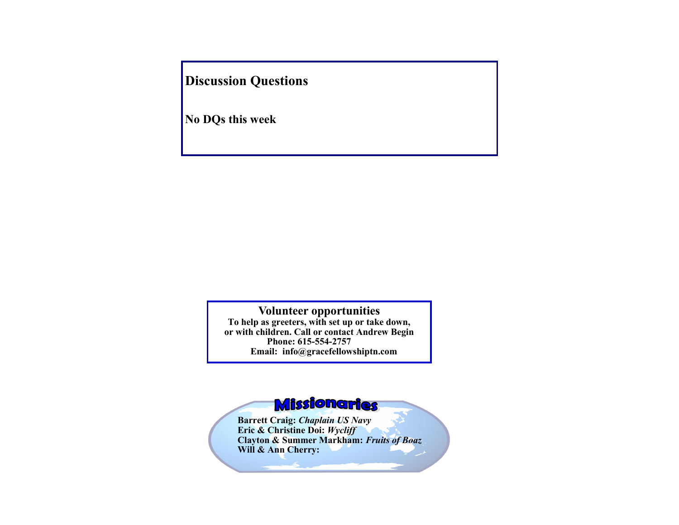## **Discussion Questions**

**No DQs this week**

**Volunteer opportunities To help as greeters, with set up or take down, or with children. Call or contact Andrew Begin Phone: 615-554-2757 Email: info@gracefellowshiptn.com**



**Barrett Craig:** *Chaplain US Navy* **Eric & Christine Doi:** *Wycliff*  **Clayton & Summer Markham:** *Fruits of Boaz* **Will & Ann Cherry:**